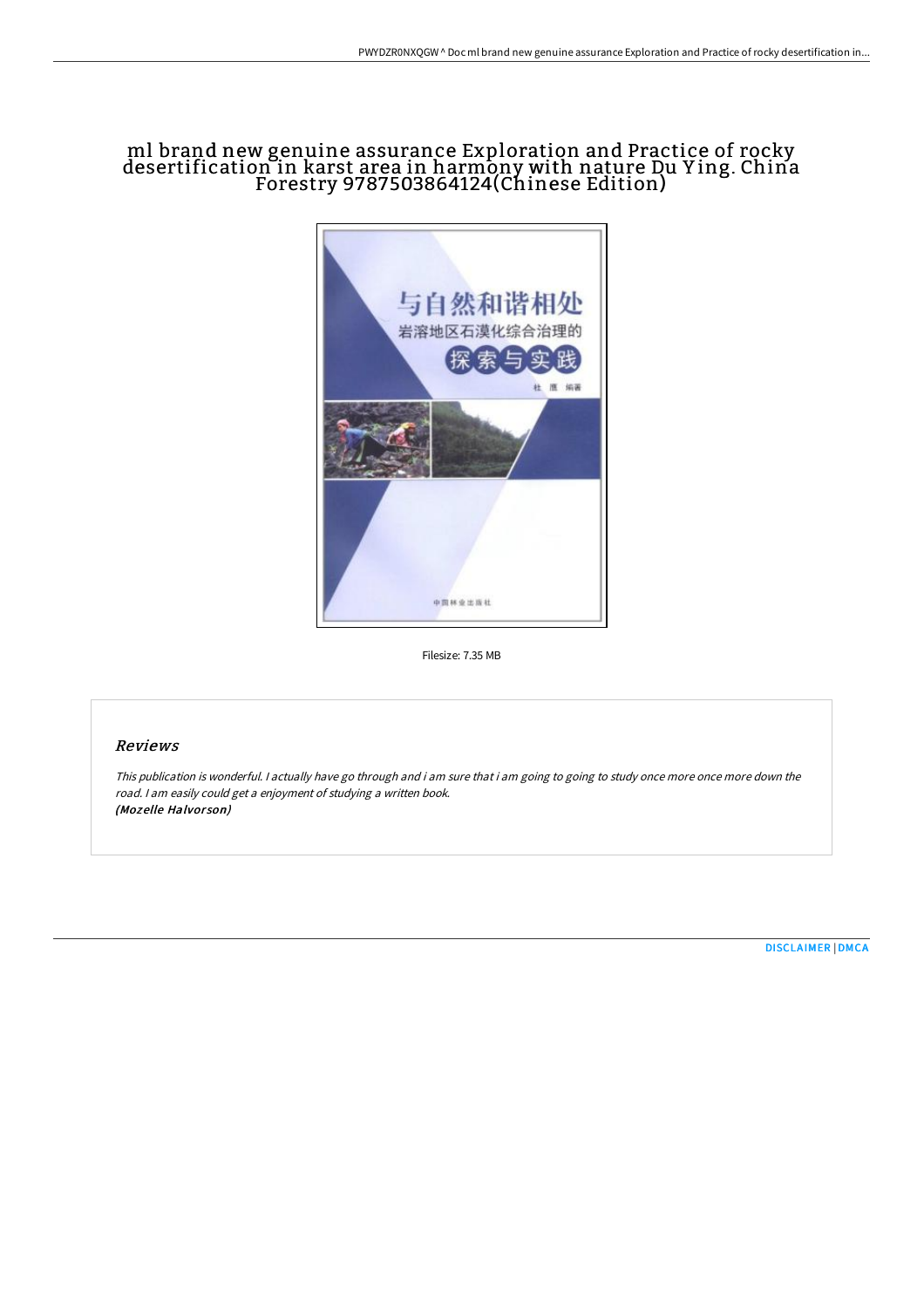## ml brand new genuine assurance Exploration and Practice of rocky desertification in karst area in harmony with nature Du Y ing. China Forestry 9787503864124(Chinese Edition)



Filesize: 7.35 MB

## Reviews

This publication is wonderful. <sup>I</sup> actually have go through and i am sure that i am going to going to study once more once more down the road. <sup>I</sup> am easily could get <sup>a</sup> enjoyment of studying <sup>a</sup> written book. (Mozelle Halvorson)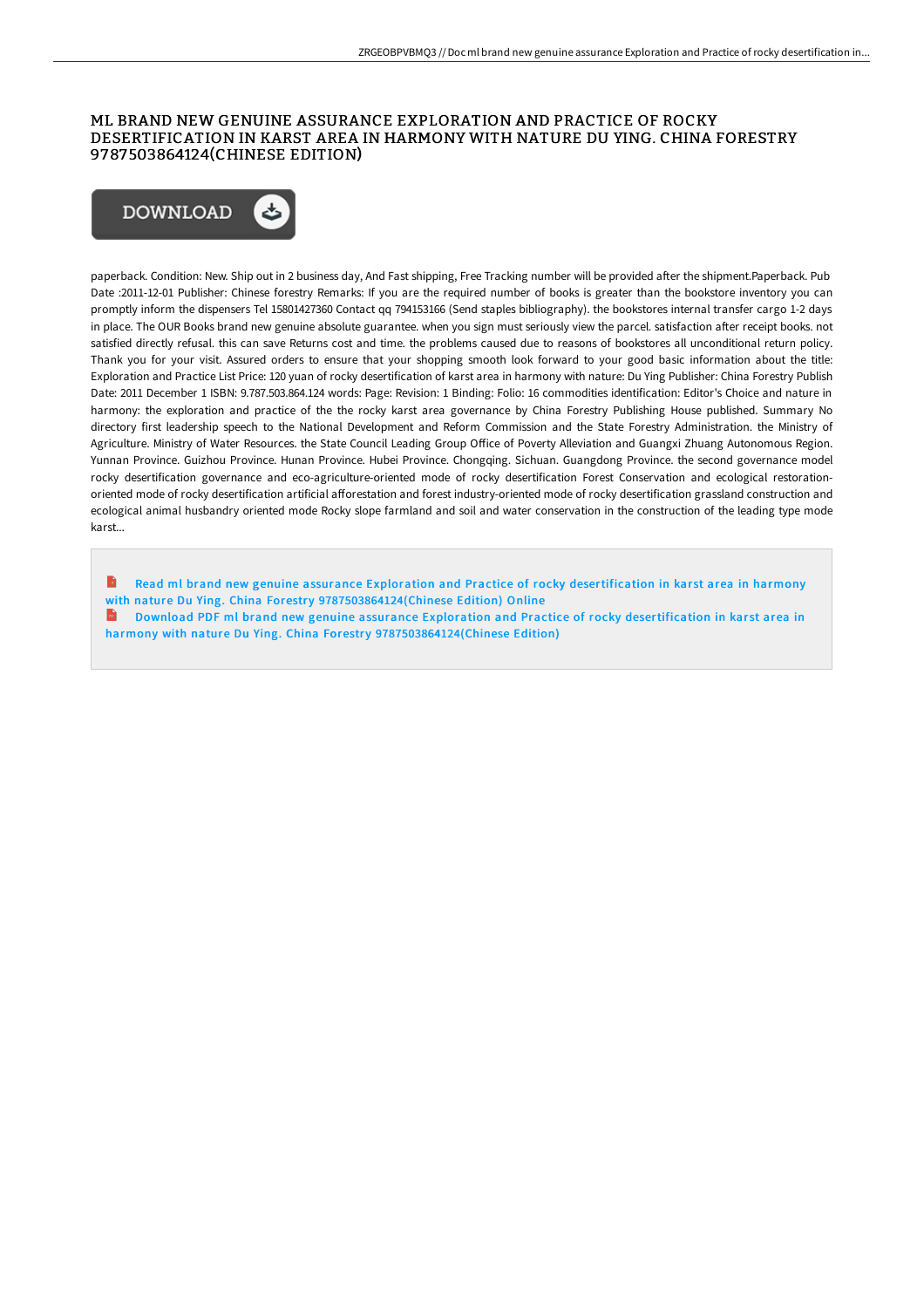## ML BRAND NEW GENUINE ASSURANCE EXPLORATION AND PRACTICE OF ROCKY DESERTIFICATION IN KARST AREA IN HARMONY WITH NATURE DU YING. CHINA FORESTRY 9787503864124(CHINESE EDITION)



paperback. Condition: New. Ship out in 2 business day, And Fast shipping, Free Tracking number will be provided after the shipment.Paperback. Pub Date :2011-12-01 Publisher: Chinese forestry Remarks: If you are the required number of books is greater than the bookstore inventory you can promptly inform the dispensers Tel 15801427360 Contact qq 794153166 (Send staples bibliography). the bookstores internal transfer cargo 1-2 days in place. The OUR Books brand new genuine absolute guarantee. when you sign must seriously view the parcel. satisfaction after receipt books. not satisfied directly refusal. this can save Returns cost and time. the problems caused due to reasons of bookstores all unconditional return policy. Thank you for your visit. Assured orders to ensure that your shopping smooth look forward to your good basic information about the title: Exploration and Practice List Price: 120 yuan of rocky desertification of karst area in harmony with nature: Du Ying Publisher: China Forestry Publish Date: 2011 December 1 ISBN: 9.787.503.864.124 words: Page: Revision: 1 Binding: Folio: 16 commodities identification: Editor's Choice and nature in harmony: the exploration and practice of the the rocky karst area governance by China Forestry Publishing House published. Summary No directory first leadership speech to the National Development and Reform Commission and the State Forestry Administration. the Ministry of Agriculture. Ministry of Water Resources. the State Council Leading Group Office of Poverty Alleviation and Guangxi Zhuang Autonomous Region. Yunnan Province. Guizhou Province. Hunan Province. Hubei Province. Chongqing. Sichuan. Guangdong Province. the second governance model rocky desertification governance and eco-agriculture-oriented mode of rocky desertification Forest Conservation and ecological restorationoriented mode of rocky desertification artificial afforestation and forest industry-oriented mode of rocky desertification grassland construction and ecological animal husbandry oriented mode Rocky slope farmland and soil and water conservation in the construction of the leading type mode karst...

B Read ml brand new genuine assurance Exploration and Practice of rocky desertification in karst area in harmony with nature Du Ying. China Forestry [9787503864124\(Chinese](http://www.bookdirs.com/ml-brand-new-genuine-assurance-exploration-and-p.html) Edition) Online

**Download PDF ml brand new genuine assurance Exploration and Practice of rocky desertification in karst area in** harmony with nature Du Ying. China Forestry [9787503864124\(Chinese](http://www.bookdirs.com/ml-brand-new-genuine-assurance-exploration-and-p.html) Edition)